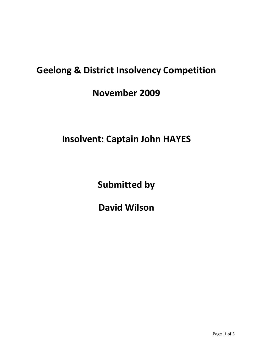## **Geelong & District Insolvency Competition**

**November 2009**

**Insolvent: Captain John HAYES**

**Submitted by**

**David Wilson**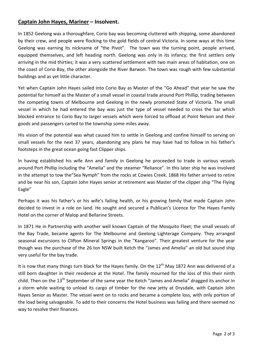## **Captain John Hayes, Mariner – Insolvent.**

In 1852 Geelong was a thoroughfare, Corio bay was becoming cluttered with shipping, some abandoned by their crew, and people were flocking to the gold fields of central Victoria. In some ways at this time Geelong was earning its nickname of "the Pivot". The town was the turning point, people arrived, equipped themselves, and left heading north. Geelong was only in its infancy; the first settlers only arriving in the mid thirties; it was a very scattered settlement with two main areas of habitation, one on the coast of Corio Bay, the other alongside the River Barwon. The town was rough with few substantial buildings and as yet little character.

Yet when Captain John Hayes sailed into Corio Bay as Master of the "Go Ahead" that year he saw the potential for himself as the Master of a small vessel in coastal trade around Port Phillip, trading between the competing towns of Melbourne and Geelong in the newly promoted State of Victoria. The small vessel in which he had entered the bay was just the type of vessel needed to cross the bar which blocked entrance to Corio Bay to larger vessels which were forced to offload at Point Nelson and their goods and passengers carted to the township some miles away.

His vision of the potential was what caused him to settle in Geelong and confine himself to serving on small vessels for the next 37 years, abandoning any plans he may have had to follow in his father's footsteps in the great ocean going fast Clipper ships.

In having established his wife Ann and family in Geelong he proceeded to trade in various vessels around Port Phillip including the "Amelia" and the steamer "Reliance". In this later ship he was involved in the attempt to tow the"Sea Nymph" from the rocks at Cowies Creek. 1868 His father arrived to retire and be near his son, Captain John Hayes senior at retirement was Master of the clipper ship "The Flying Eagle"

Perhaps it was his father's or his wife's failing health, or his growing family that made Captain John decided to invest in a role on land. He sought and secured a Publican's Licence for The Hayes Family Hotel on the corner of Malop and Bellarine Streets.

In 1871 He in Partnership with another well known Captain of the Mosquito Fleet; the small vessels of the Bay Trade, became agents for The Melbourne and Geelong Lighterage Company. They arranged seasonal excursions to Clifton Mineral Springs in the "Kangaroo". Their greatest venture for the year though was the purchase of the 26 ton NSW built Ketch the "James and Amelia" an old but sound ship very useful for the bay trade.

It is now that many things turn black for the Hayes family. On the 12<sup>th</sup> May 1872 Ann was delivered of a still born daughter in their residence at the Hotel. The family mourned for the loss of this their ninth child. Then on the 13<sup>th</sup> September of the same year the Ketch "James and Amelia" dragged its anchor in a storm while waiting to unload its cargo of timber for the new jetty at Drysdale, with Captain John Hayes Senior as Master. The vessel went on to rocks and became a complete loss, with only portion of the load being salvageable. To add to their concerns the Hotel business was failing and there seemed no way to resolve their finances.